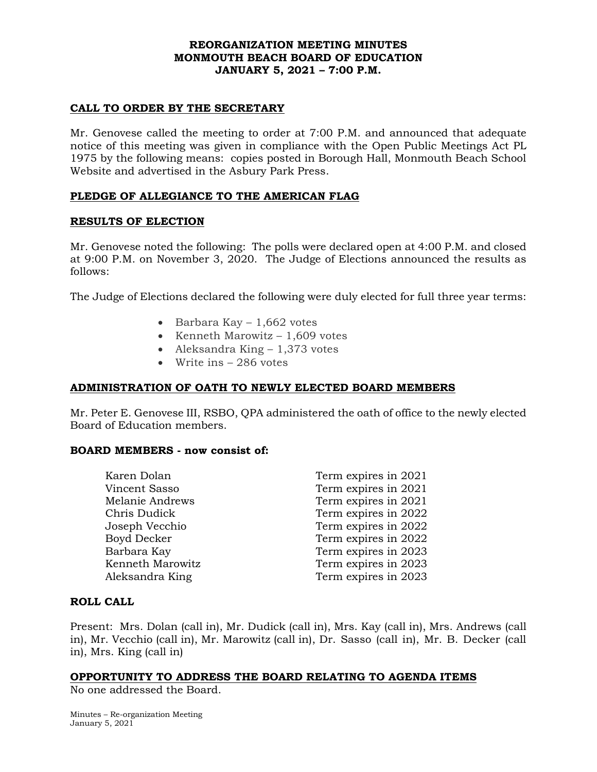## **REORGANIZATION MEETING MINUTES MONMOUTH BEACH BOARD OF EDUCATION JANUARY 5, 2021 – 7:00 P.M.**

## **CALL TO ORDER BY THE SECRETARY**

Mr. Genovese called the meeting to order at 7:00 P.M. and announced that adequate notice of this meeting was given in compliance with the Open Public Meetings Act PL 1975 by the following means: copies posted in Borough Hall, Monmouth Beach School Website and advertised in the Asbury Park Press.

## **PLEDGE OF ALLEGIANCE TO THE AMERICAN FLAG**

## **RESULTS OF ELECTION**

Mr. Genovese noted the following: The polls were declared open at 4:00 P.M. and closed at 9:00 P.M. on November 3, 2020. The Judge of Elections announced the results as follows:

The Judge of Elections declared the following were duly elected for full three year terms:

- Barbara Kay  $-1,662$  votes
- Kenneth Marowitz  $-1,609$  votes
- Aleksandra King 1,373 votes
- Write ins 286 votes

## **ADMINISTRATION OF OATH TO NEWLY ELECTED BOARD MEMBERS**

Mr. Peter E. Genovese III, RSBO, QPA administered the oath of office to the newly elected Board of Education members.

## **BOARD MEMBERS - now consist of:**

| Karen Dolan        | Term expires in 2021 |
|--------------------|----------------------|
| Vincent Sasso      | Term expires in 2021 |
| Melanie Andrews    | Term expires in 2021 |
| Chris Dudick       | Term expires in 2022 |
| Joseph Vecchio     | Term expires in 2022 |
| <b>Boyd Decker</b> | Term expires in 2022 |
| Barbara Kay        | Term expires in 2023 |
| Kenneth Marowitz   | Term expires in 2023 |
| Aleksandra King    | Term expires in 2023 |
|                    |                      |

## **ROLL CALL**

Present: Mrs. Dolan (call in), Mr. Dudick (call in), Mrs. Kay (call in), Mrs. Andrews (call in), Mr. Vecchio (call in), Mr. Marowitz (call in), Dr. Sasso (call in), Mr. B. Decker (call in), Mrs. King (call in)

## **OPPORTUNITY TO ADDRESS THE BOARD RELATING TO AGENDA ITEMS**

No one addressed the Board.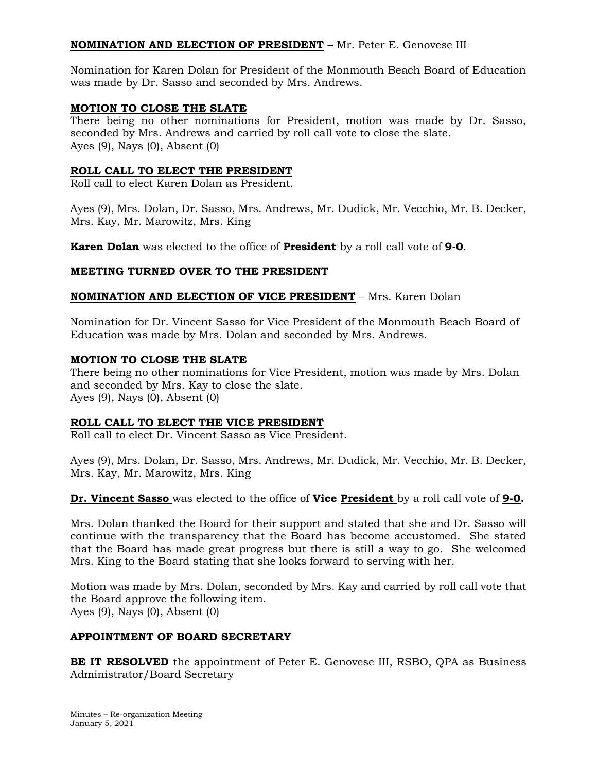# **NOMINATION AND ELECTION OF PRESIDENT –** Mr. Peter E. Genovese III

Nomination for Karen Dolan for President of the Monmouth Beach Board of Education was made by Dr. Sasso and seconded by Mrs. Andrews.

## **MOTION TO CLOSE THE SLATE**

There being no other nominations for President, motion was made by Dr. Sasso, seconded by Mrs. Andrews and carried by roll call vote to close the slate. Ayes (9), Nays (0), Absent (0)

## **ROLL CALL TO ELECT THE PRESIDENT**

Roll call to elect Karen Dolan as President.

Ayes (9), Mrs. Dolan, Dr. Sasso, Mrs. Andrews, Mr. Dudick, Mr. Vecchio, Mr. B. Decker, Mrs. Kay, Mr. Marowitz, Mrs. King

**Karen Dolan** was elected to the office of **President** by a roll call vote of **9-0**.

## **MEETING TURNED OVER TO THE PRESIDENT**

## **NOMINATION AND ELECTION OF VICE PRESIDENT** – Mrs. Karen Dolan

Nomination for Dr. Vincent Sasso for Vice President of the Monmouth Beach Board of Education was made by Mrs. Dolan and seconded by Mrs. Andrews.

## **MOTION TO CLOSE THE SLATE**

There being no other nominations for Vice President, motion was made by Mrs. Dolan and seconded by Mrs. Kay to close the slate. Ayes (9), Nays (0), Absent (0)

## **ROLL CALL TO ELECT THE VICE PRESIDENT**

Roll call to elect Dr. Vincent Sasso as Vice President.

Ayes (9), Mrs. Dolan, Dr. Sasso, Mrs. Andrews, Mr. Dudick, Mr. Vecchio, Mr. B. Decker, Mrs. Kay, Mr. Marowitz, Mrs. King

**Dr. Vincent Sasso** was elected to the office of **Vice President** by a roll call vote of **9-0.**

Mrs. Dolan thanked the Board for their support and stated that she and Dr. Sasso will continue with the transparency that the Board has become accustomed. She stated that the Board has made great progress but there is still a way to go. She welcomed Mrs. King to the Board stating that she looks forward to serving with her.

Motion was made by Mrs. Dolan, seconded by Mrs. Kay and carried by roll call vote that the Board approve the following item. Ayes (9), Nays (0), Absent (0)

## **APPOINTMENT OF BOARD SECRETARY**

**BE IT RESOLVED** the appointment of Peter E. Genovese III, RSBO, QPA as Business Administrator/Board Secretary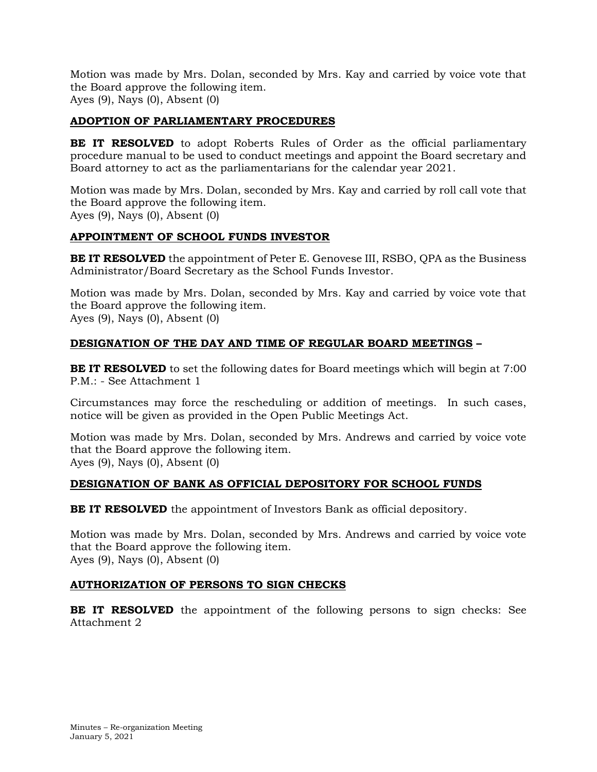# **ADOPTION OF PARLIAMENTARY PROCEDURES**

**BE IT RESOLVED** to adopt Roberts Rules of Order as the official parliamentary procedure manual to be used to conduct meetings and appoint the Board secretary and Board attorney to act as the parliamentarians for the calendar year 2021.

Motion was made by Mrs. Dolan, seconded by Mrs. Kay and carried by roll call vote that the Board approve the following item. Ayes (9), Nays (0), Absent (0)

# **APPOINTMENT OF SCHOOL FUNDS INVESTOR**

**BE IT RESOLVED** the appointment of Peter E. Genovese III, RSBO, QPA as the Business Administrator/Board Secretary as the School Funds Investor.

Motion was made by Mrs. Dolan, seconded by Mrs. Kay and carried by voice vote that the Board approve the following item. Ayes (9), Nays (0), Absent (0)

# **DESIGNATION OF THE DAY AND TIME OF REGULAR BOARD MEETINGS –**

**BE IT RESOLVED** to set the following dates for Board meetings which will begin at 7:00 P.M.: - See Attachment 1

Circumstances may force the rescheduling or addition of meetings. In such cases, notice will be given as provided in the Open Public Meetings Act.

Motion was made by Mrs. Dolan, seconded by Mrs. Andrews and carried by voice vote that the Board approve the following item. Ayes (9), Nays (0), Absent (0)

# **DESIGNATION OF BANK AS OFFICIAL DEPOSITORY FOR SCHOOL FUNDS**

**BE IT RESOLVED** the appointment of Investors Bank as official depository.

Motion was made by Mrs. Dolan, seconded by Mrs. Andrews and carried by voice vote that the Board approve the following item. Ayes (9), Nays (0), Absent (0)

# **AUTHORIZATION OF PERSONS TO SIGN CHECKS**

**BE IT RESOLVED** the appointment of the following persons to sign checks: See Attachment 2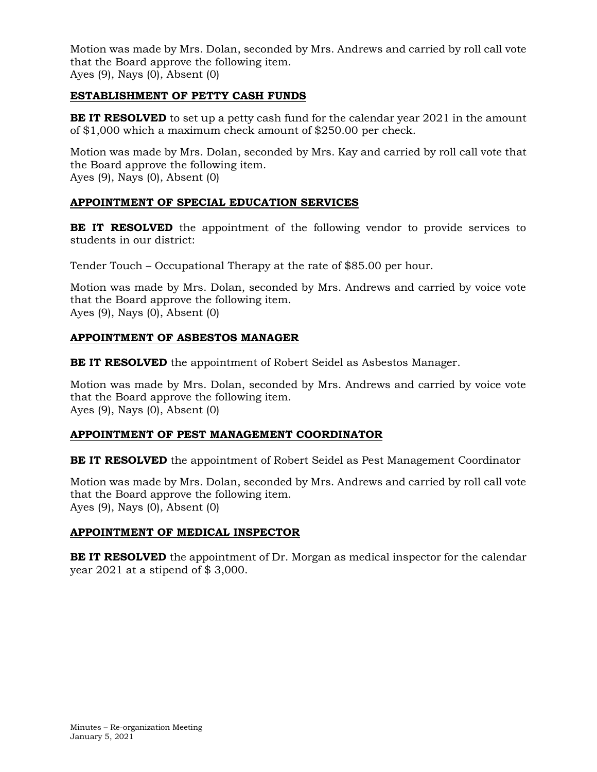# **ESTABLISHMENT OF PETTY CASH FUNDS**

**BE IT RESOLVED** to set up a petty cash fund for the calendar year 2021 in the amount of \$1,000 which a maximum check amount of \$250.00 per check.

Motion was made by Mrs. Dolan, seconded by Mrs. Kay and carried by roll call vote that the Board approve the following item. Ayes (9), Nays (0), Absent (0)

## **APPOINTMENT OF SPECIAL EDUCATION SERVICES**

**BE IT RESOLVED** the appointment of the following vendor to provide services to students in our district:

Tender Touch – Occupational Therapy at the rate of \$85.00 per hour.

Motion was made by Mrs. Dolan, seconded by Mrs. Andrews and carried by voice vote that the Board approve the following item. Ayes (9), Nays (0), Absent (0)

# **APPOINTMENT OF ASBESTOS MANAGER**

**BE IT RESOLVED** the appointment of Robert Seidel as Asbestos Manager.

Motion was made by Mrs. Dolan, seconded by Mrs. Andrews and carried by voice vote that the Board approve the following item. Ayes (9), Nays (0), Absent (0)

## **APPOINTMENT OF PEST MANAGEMENT COORDINATOR**

**BE IT RESOLVED** the appointment of Robert Seidel as Pest Management Coordinator

Motion was made by Mrs. Dolan, seconded by Mrs. Andrews and carried by roll call vote that the Board approve the following item. Ayes (9), Nays (0), Absent (0)

## **APPOINTMENT OF MEDICAL INSPECTOR**

**BE IT RESOLVED** the appointment of Dr. Morgan as medical inspector for the calendar year 2021 at a stipend of \$ 3,000.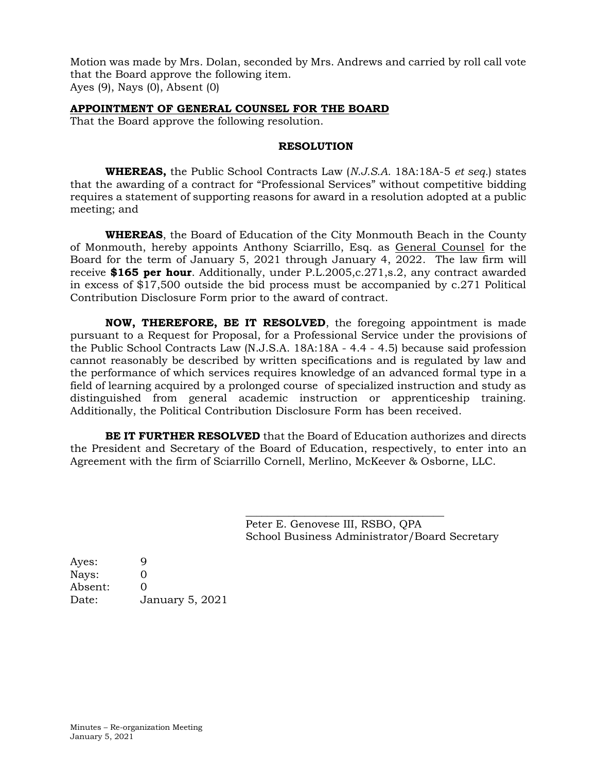## **APPOINTMENT OF GENERAL COUNSEL FOR THE BOARD**

That the Board approve the following resolution.

## **RESOLUTION**

**WHEREAS,** the Public School Contracts Law (*N.J.S.A.* 18A:18A-5 *et seq.*) states that the awarding of a contract for "Professional Services" without competitive bidding requires a statement of supporting reasons for award in a resolution adopted at a public meeting; and

**WHEREAS**, the Board of Education of the City Monmouth Beach in the County of Monmouth, hereby appoints Anthony Sciarrillo, Esq. as General Counsel for the Board for the term of January 5, 2021 through January 4, 2022. The law firm will receive **\$165 per hour**. Additionally, under P.L.2005,c.271,s.2, any contract awarded in excess of \$17,500 outside the bid process must be accompanied by c.271 Political Contribution Disclosure Form prior to the award of contract.

**NOW, THEREFORE, BE IT RESOLVED**, the foregoing appointment is made pursuant to a Request for Proposal, for a Professional Service under the provisions of the Public School Contracts Law (N.J.S.A. 18A:18A - 4.4 - 4.5) because said profession cannot reasonably be described by written specifications and is regulated by law and the performance of which services requires knowledge of an advanced formal type in a field of learning acquired by a prolonged course of specialized instruction and study as distinguished from general academic instruction or apprenticeship training. Additionally, the Political Contribution Disclosure Form has been received.

**BE IT FURTHER RESOLVED** that the Board of Education authorizes and directs the President and Secretary of the Board of Education, respectively, to enter into an Agreement with the firm of Sciarrillo Cornell, Merlino, McKeever & Osborne, LLC.

> Peter E. Genovese III, RSBO, QPA School Business Administrator/Board Secretary

\_\_\_\_\_\_\_\_\_\_\_\_\_\_\_\_\_\_\_\_\_\_\_\_\_\_\_\_\_\_\_\_\_\_\_\_\_

Ayes: 9 Nays: 0 Absent: 0 Date: January 5, 2021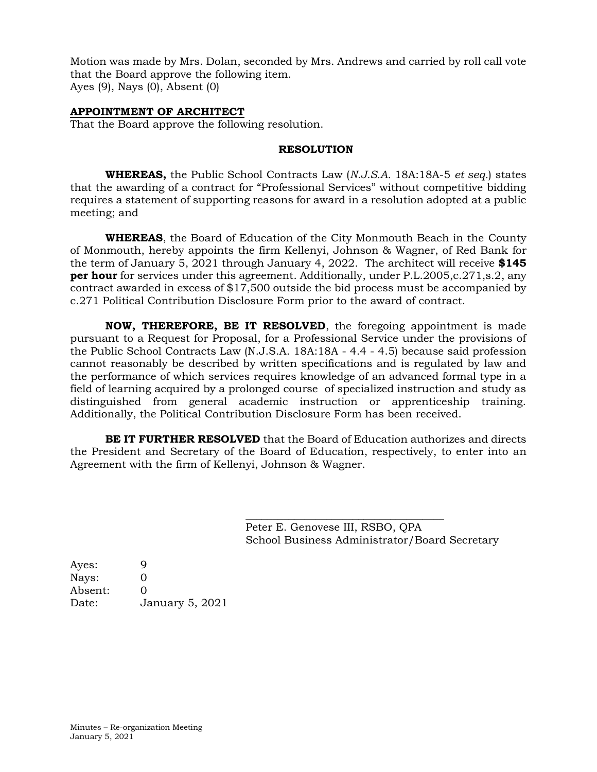## **APPOINTMENT OF ARCHITECT**

That the Board approve the following resolution.

#### **RESOLUTION**

**WHEREAS,** the Public School Contracts Law (*N.J.S.A.* 18A:18A-5 *et seq.*) states that the awarding of a contract for "Professional Services" without competitive bidding requires a statement of supporting reasons for award in a resolution adopted at a public meeting; and

**WHEREAS**, the Board of Education of the City Monmouth Beach in the County of Monmouth, hereby appoints the firm Kellenyi, Johnson & Wagner, of Red Bank for the term of January 5, 2021 through January 4, 2022. The architect will receive **\$145 per hour** for services under this agreement. Additionally, under P.L.2005,c.271,s.2, any contract awarded in excess of \$17,500 outside the bid process must be accompanied by c.271 Political Contribution Disclosure Form prior to the award of contract.

**NOW, THEREFORE, BE IT RESOLVED**, the foregoing appointment is made pursuant to a Request for Proposal, for a Professional Service under the provisions of the Public School Contracts Law (N.J.S.A. 18A:18A - 4.4 - 4.5) because said profession cannot reasonably be described by written specifications and is regulated by law and the performance of which services requires knowledge of an advanced formal type in a field of learning acquired by a prolonged course of specialized instruction and study as distinguished from general academic instruction or apprenticeship training. Additionally, the Political Contribution Disclosure Form has been received.

**BE IT FURTHER RESOLVED** that the Board of Education authorizes and directs the President and Secretary of the Board of Education, respectively, to enter into an Agreement with the firm of Kellenyi, Johnson & Wagner.

> Peter E. Genovese III, RSBO, QPA School Business Administrator/Board Secretary

\_\_\_\_\_\_\_\_\_\_\_\_\_\_\_\_\_\_\_\_\_\_\_\_\_\_\_\_\_\_\_\_\_\_\_\_\_

Ayes: 9 Nays: 0 Absent: 0 Date: January 5, 2021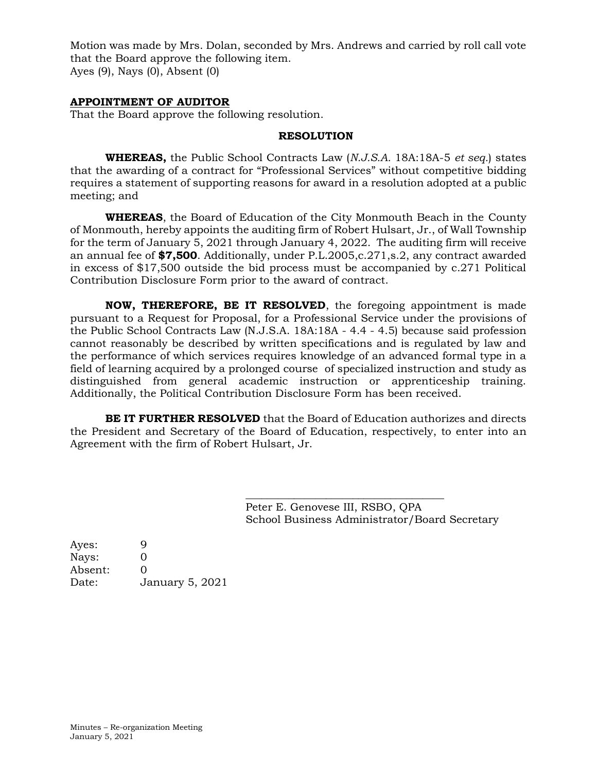## **APPOINTMENT OF AUDITOR**

That the Board approve the following resolution.

## **RESOLUTION**

**WHEREAS,** the Public School Contracts Law (*N.J.S.A.* 18A:18A-5 *et seq.*) states that the awarding of a contract for "Professional Services" without competitive bidding requires a statement of supporting reasons for award in a resolution adopted at a public meeting; and

**WHEREAS**, the Board of Education of the City Monmouth Beach in the County of Monmouth, hereby appoints the auditing firm of Robert Hulsart, Jr., of Wall Township for the term of January 5, 2021 through January 4, 2022. The auditing firm will receive an annual fee of **\$7,500**. Additionally, under P.L.2005,c.271,s.2, any contract awarded in excess of \$17,500 outside the bid process must be accompanied by c.271 Political Contribution Disclosure Form prior to the award of contract.

**NOW, THEREFORE, BE IT RESOLVED**, the foregoing appointment is made pursuant to a Request for Proposal, for a Professional Service under the provisions of the Public School Contracts Law (N.J.S.A. 18A:18A - 4.4 - 4.5) because said profession cannot reasonably be described by written specifications and is regulated by law and the performance of which services requires knowledge of an advanced formal type in a field of learning acquired by a prolonged course of specialized instruction and study as distinguished from general academic instruction or apprenticeship training. Additionally, the Political Contribution Disclosure Form has been received.

**BE IT FURTHER RESOLVED** that the Board of Education authorizes and directs the President and Secretary of the Board of Education, respectively, to enter into an Agreement with the firm of Robert Hulsart, Jr.

> Peter E. Genovese III, RSBO, QPA School Business Administrator/Board Secretary

\_\_\_\_\_\_\_\_\_\_\_\_\_\_\_\_\_\_\_\_\_\_\_\_\_\_\_\_\_\_\_\_\_\_\_\_\_

| January 5, 2021 |
|-----------------|
|                 |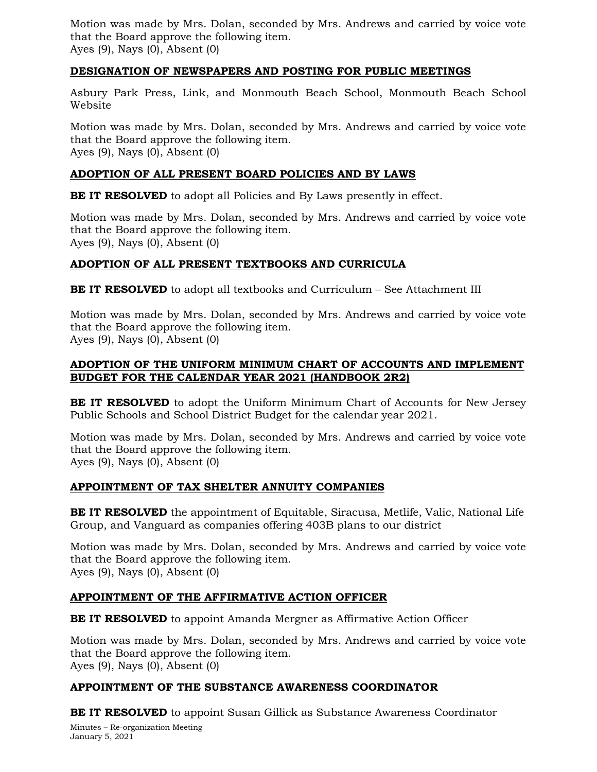## **DESIGNATION OF NEWSPAPERS AND POSTING FOR PUBLIC MEETINGS**

Asbury Park Press, Link, and Monmouth Beach School, Monmouth Beach School Website

Motion was made by Mrs. Dolan, seconded by Mrs. Andrews and carried by voice vote that the Board approve the following item. Ayes (9), Nays (0), Absent (0)

# **ADOPTION OF ALL PRESENT BOARD POLICIES AND BY LAWS**

**BE IT RESOLVED** to adopt all Policies and By Laws presently in effect.

Motion was made by Mrs. Dolan, seconded by Mrs. Andrews and carried by voice vote that the Board approve the following item. Ayes (9), Nays (0), Absent (0)

# **ADOPTION OF ALL PRESENT TEXTBOOKS AND CURRICULA**

**BE IT RESOLVED** to adopt all textbooks and Curriculum – See Attachment III

Motion was made by Mrs. Dolan, seconded by Mrs. Andrews and carried by voice vote that the Board approve the following item. Ayes (9), Nays (0), Absent (0)

## **ADOPTION OF THE UNIFORM MINIMUM CHART OF ACCOUNTS AND IMPLEMENT BUDGET FOR THE CALENDAR YEAR 2021 (HANDBOOK 2R2)**

**BE IT RESOLVED** to adopt the Uniform Minimum Chart of Accounts for New Jersey Public Schools and School District Budget for the calendar year 2021.

Motion was made by Mrs. Dolan, seconded by Mrs. Andrews and carried by voice vote that the Board approve the following item. Ayes (9), Nays (0), Absent (0)

# **APPOINTMENT OF TAX SHELTER ANNUITY COMPANIES**

**BE IT RESOLVED** the appointment of Equitable, Siracusa, Metlife, Valic, National Life Group, and Vanguard as companies offering 403B plans to our district

Motion was made by Mrs. Dolan, seconded by Mrs. Andrews and carried by voice vote that the Board approve the following item. Ayes (9), Nays (0), Absent (0)

# **APPOINTMENT OF THE AFFIRMATIVE ACTION OFFICER**

**BE IT RESOLVED** to appoint Amanda Mergner as Affirmative Action Officer

Motion was made by Mrs. Dolan, seconded by Mrs. Andrews and carried by voice vote that the Board approve the following item. Ayes (9), Nays (0), Absent (0)

# **APPOINTMENT OF THE SUBSTANCE AWARENESS COORDINATOR**

**BE IT RESOLVED** to appoint Susan Gillick as Substance Awareness Coordinator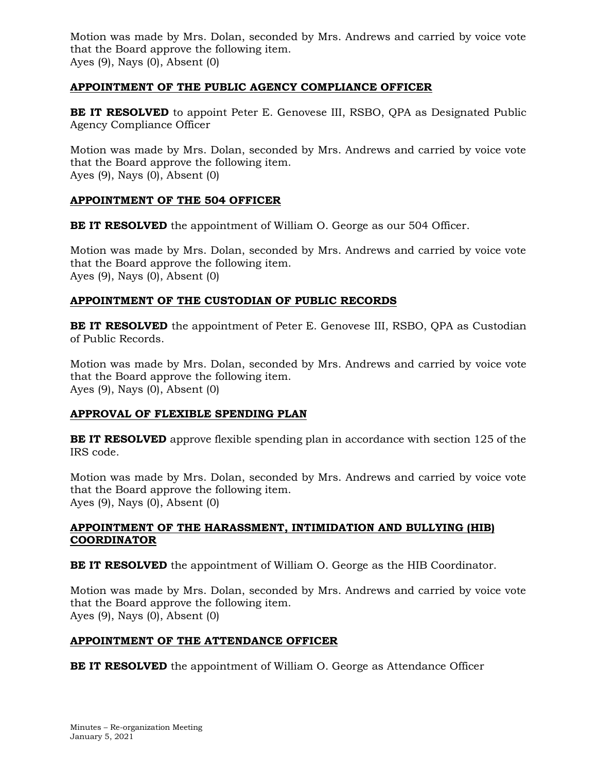# **APPOINTMENT OF THE PUBLIC AGENCY COMPLIANCE OFFICER**

**BE IT RESOLVED** to appoint Peter E. Genovese III, RSBO, QPA as Designated Public Agency Compliance Officer

Motion was made by Mrs. Dolan, seconded by Mrs. Andrews and carried by voice vote that the Board approve the following item. Ayes (9), Nays (0), Absent (0)

## **APPOINTMENT OF THE 504 OFFICER**

**BE IT RESOLVED** the appointment of William O. George as our 504 Officer.

Motion was made by Mrs. Dolan, seconded by Mrs. Andrews and carried by voice vote that the Board approve the following item. Ayes (9), Nays (0), Absent (0)

## **APPOINTMENT OF THE CUSTODIAN OF PUBLIC RECORDS**

**BE IT RESOLVED** the appointment of Peter E. Genovese III, RSBO, QPA as Custodian of Public Records.

Motion was made by Mrs. Dolan, seconded by Mrs. Andrews and carried by voice vote that the Board approve the following item. Ayes (9), Nays (0), Absent (0)

# **APPROVAL OF FLEXIBLE SPENDING PLAN**

**BE IT RESOLVED** approve flexible spending plan in accordance with section 125 of the IRS code.

Motion was made by Mrs. Dolan, seconded by Mrs. Andrews and carried by voice vote that the Board approve the following item. Ayes (9), Nays (0), Absent (0)

## **APPOINTMENT OF THE HARASSMENT, INTIMIDATION AND BULLYING (HIB) COORDINATOR**

**BE IT RESOLVED** the appointment of William O. George as the HIB Coordinator.

Motion was made by Mrs. Dolan, seconded by Mrs. Andrews and carried by voice vote that the Board approve the following item. Ayes (9), Nays (0), Absent (0)

## **APPOINTMENT OF THE ATTENDANCE OFFICER**

**BE IT RESOLVED** the appointment of William O. George as Attendance Officer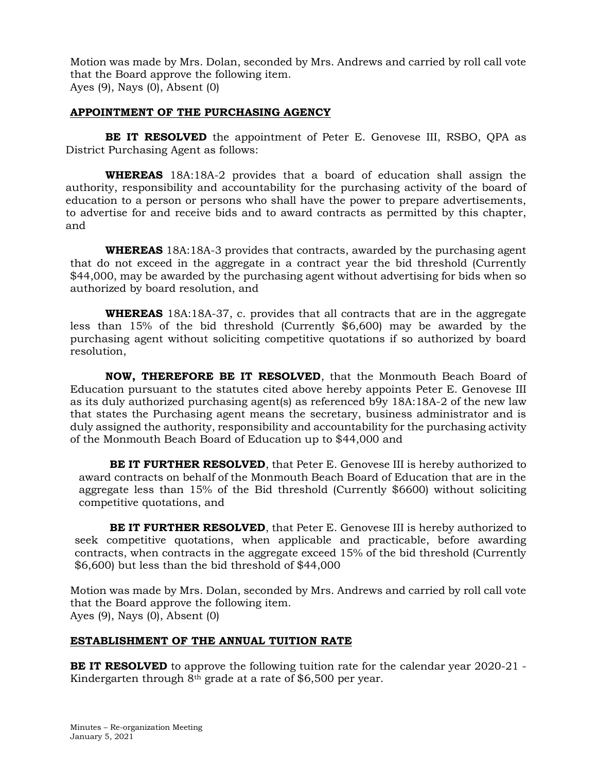## **APPOINTMENT OF THE PURCHASING AGENCY**

**BE IT RESOLVED** the appointment of Peter E. Genovese III, RSBO, QPA as District Purchasing Agent as follows:

**WHEREAS** 18A:18A-2 provides that a board of education shall assign the authority, responsibility and accountability for the purchasing activity of the board of education to a person or persons who shall have the power to prepare advertisements, to advertise for and receive bids and to award contracts as permitted by this chapter, and

**WHEREAS** 18A:18A-3 provides that contracts, awarded by the purchasing agent that do not exceed in the aggregate in a contract year the bid threshold (Currently \$44,000, may be awarded by the purchasing agent without advertising for bids when so authorized by board resolution, and

**WHEREAS** 18A:18A-37, c. provides that all contracts that are in the aggregate less than 15% of the bid threshold (Currently \$6,600) may be awarded by the purchasing agent without soliciting competitive quotations if so authorized by board resolution,

**NOW, THEREFORE BE IT RESOLVED**, that the Monmouth Beach Board of Education pursuant to the statutes cited above hereby appoints Peter E. Genovese III as its duly authorized purchasing agent(s) as referenced b9y 18A:18A-2 of the new law that states the Purchasing agent means the secretary, business administrator and is duly assigned the authority, responsibility and accountability for the purchasing activity of the Monmouth Beach Board of Education up to \$44,000 and

**BE IT FURTHER RESOLVED**, that Peter E. Genovese III is hereby authorized to award contracts on behalf of the Monmouth Beach Board of Education that are in the aggregate less than 15% of the Bid threshold (Currently \$6600) without soliciting competitive quotations, and

**BE IT FURTHER RESOLVED**, that Peter E. Genovese III is hereby authorized to seek competitive quotations, when applicable and practicable, before awarding contracts, when contracts in the aggregate exceed 15% of the bid threshold (Currently \$6,600) but less than the bid threshold of \$44,000

Motion was made by Mrs. Dolan, seconded by Mrs. Andrews and carried by roll call vote that the Board approve the following item. Ayes (9), Nays (0), Absent (0)

# **ESTABLISHMENT OF THE ANNUAL TUITION RATE**

**BE IT RESOLVED** to approve the following tuition rate for the calendar year 2020-21 -Kindergarten through 8th grade at a rate of \$6,500 per year.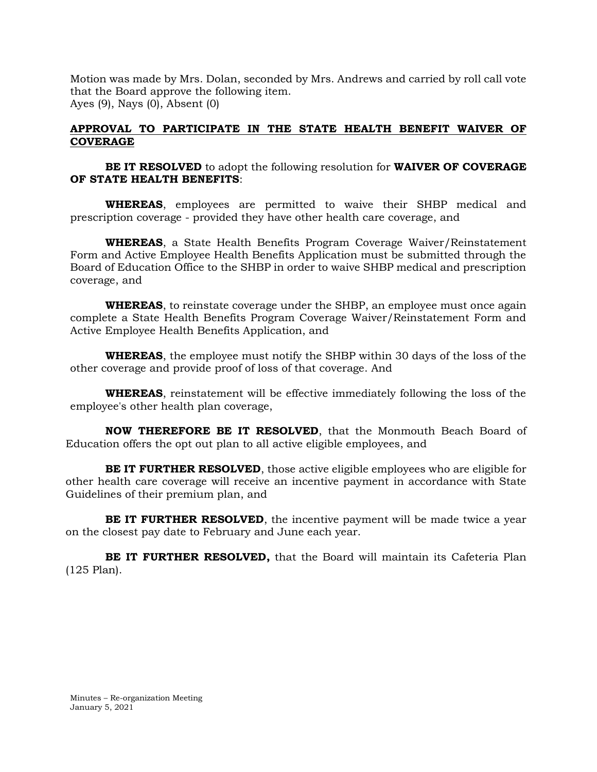## **APPROVAL TO PARTICIPATE IN THE STATE HEALTH BENEFIT WAIVER OF COVERAGE**

**BE IT RESOLVED** to adopt the following resolution for **WAIVER OF COVERAGE OF STATE HEALTH BENEFITS**:

**WHEREAS**, employees are permitted to waive their SHBP medical and prescription coverage - provided they have other health care coverage, and

**WHEREAS**, a State Health Benefits Program Coverage Waiver/Reinstatement Form and Active Employee Health Benefits Application must be submitted through the Board of Education Office to the SHBP in order to waive SHBP medical and prescription coverage, and

**WHEREAS**, to reinstate coverage under the SHBP, an employee must once again complete a State Health Benefits Program Coverage Waiver/Reinstatement Form and Active Employee Health Benefits Application, and

**WHEREAS**, the employee must notify the SHBP within 30 days of the loss of the other coverage and provide proof of loss of that coverage. And

**WHEREAS**, reinstatement will be effective immediately following the loss of the employee's other health plan coverage,

**NOW THEREFORE BE IT RESOLVED**, that the Monmouth Beach Board of Education offers the opt out plan to all active eligible employees, and

**BE IT FURTHER RESOLVED**, those active eligible employees who are eligible for other health care coverage will receive an incentive payment in accordance with State Guidelines of their premium plan, and

**BE IT FURTHER RESOLVED**, the incentive payment will be made twice a year on the closest pay date to February and June each year.

**BE IT FURTHER RESOLVED,** that the Board will maintain its Cafeteria Plan (125 Plan).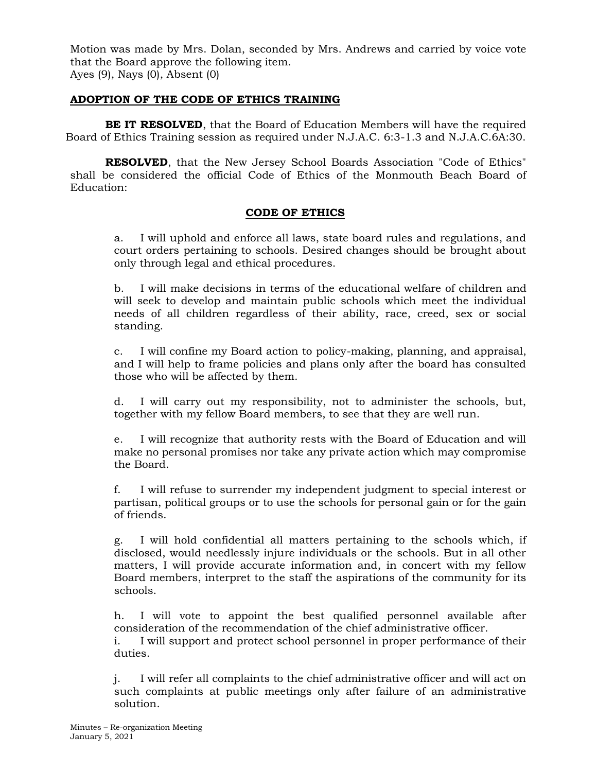## **ADOPTION OF THE CODE OF ETHICS TRAINING**

**BE IT RESOLVED**, that the Board of Education Members will have the required Board of Ethics Training session as required under N.J.A.C. 6:3-1.3 and N.J.A.C.6A:30.

**RESOLVED**, that the New Jersey School Boards Association "Code of Ethics" shall be considered the official Code of Ethics of the Monmouth Beach Board of Education:

## **CODE OF ETHICS**

a. I will uphold and enforce all laws, state board rules and regulations, and court orders pertaining to schools. Desired changes should be brought about only through legal and ethical procedures.

b. I will make decisions in terms of the educational welfare of children and will seek to develop and maintain public schools which meet the individual needs of all children regardless of their ability, race, creed, sex or social standing.

c. I will confine my Board action to policy-making, planning, and appraisal, and I will help to frame policies and plans only after the board has consulted those who will be affected by them.

d. I will carry out my responsibility, not to administer the schools, but, together with my fellow Board members, to see that they are well run.

e. I will recognize that authority rests with the Board of Education and will make no personal promises nor take any private action which may compromise the Board.

f. I will refuse to surrender my independent judgment to special interest or partisan, political groups or to use the schools for personal gain or for the gain of friends.

g. I will hold confidential all matters pertaining to the schools which, if disclosed, would needlessly injure individuals or the schools. But in all other matters, I will provide accurate information and, in concert with my fellow Board members, interpret to the staff the aspirations of the community for its schools.

h. I will vote to appoint the best qualified personnel available after consideration of the recommendation of the chief administrative officer.

i. I will support and protect school personnel in proper performance of their duties.

j. I will refer all complaints to the chief administrative officer and will act on such complaints at public meetings only after failure of an administrative solution.